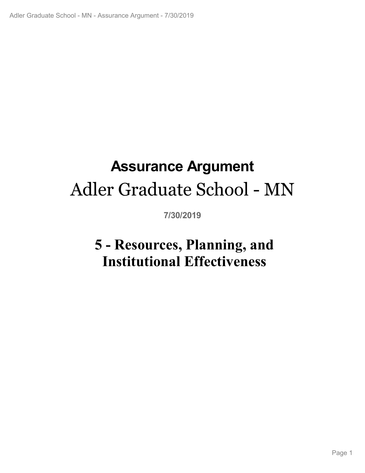# **Assurance Argument** Adler Graduate School - MN

**7/30/2019**

# **5 - Resources, Planning, and Institutional Effectiveness**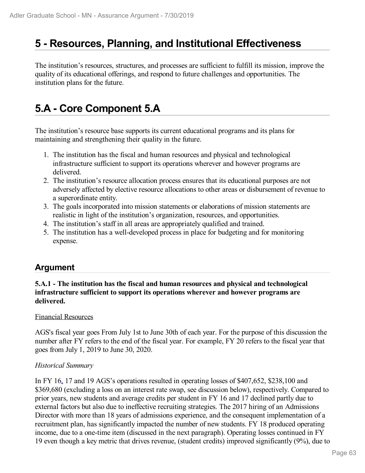# **5 - Resources, Planning, and Institutional Effectiveness**

The institution's resources, structures, and processes are sufficient to fulfill its mission, improve the quality of its educational offerings, and respond to future challenges and opportunities. The institution plans for the future.

# **5.A - Core Component 5.A**

The institution's resource base supports its current educational programs and its plans for maintaining and strengthening their quality in the future.

- 1. The institution has the fiscal and human resources and physical and technological infrastructure sufficient to support its operations wherever and however programs are delivered.
- 2. The institution's resource allocation process ensures that its educational purposes are not adversely affected by elective resource allocations to other areas or disbursement of revenue to a superordinate entity.
- 3. The goals incorporated into mission statements or elaborations of mission statements are realistic in light of the institution's organization, resources, and opportunities.
- 4. The institution's staff in all areas are appropriately qualified and trained.
- 5. The institution has a well-developed process in place for budgeting and for monitoring expense.

### **Argument**

### **5.A.1 - The institution has the fiscal and human resources and physical and technological infrastructure sufficient to support its operations wherever and however programs are delivered.**

### Financial Resources

AGS's fiscal year goes From July 1st to June 30th of each year. For the purpose of this discussion the number after FY refers to the end of the fiscal year. For example, FY 20 refers to the fiscal year that goes from July 1, 2019 to June 30, 2020.

### *Historical Summary*

In FY 16, 17 and 19 AGS's operations resulted in operating losses of \$407,652, \$238,100 and \$369,680 (excluding a loss on an interest rate swap, see discussion below), respectively. Compared to prior years, new students and average credits per student in FY 16 and 17 declined partly due to external factors but also due to ineffective recruiting strategies. The 2017 hiring of an Admissions Director with more than 18 years of admissions experience, and the consequent implementation of a recruitment plan, has significantly impacted the number of new students. FY 18 produced operating income, due to a one-time item (discussed in the next paragraph). Operating losses continued in FY 19 even though a key metric that drives revenue, (student credits) improved significantly (9%), due to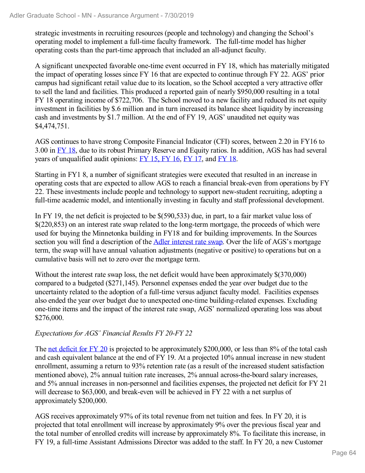strategic investments in recruiting resources (people and technology) and changing the School's operating model to implement a full-time faculty framework. The full-time model has higher operating costs than the part-time approach that included an all-adjunct faculty.

A significant unexpected favorable one-time event occurred in FY 18, which has materially mitigated the impact of operating losses since FY 16 that are expected to continue through FY 22. AGS' prior campus had significant retail value due to its location, so the School accepted a very attractive offer to sell the land and facilities. This produced a reported gain of nearly \$950,000 resulting in a total FY 18 operating income of \$722,706. The School moved to a new facility and reduced its net equity investment in facilities by \$.6 million and in turn increased its balance sheet liquidity by increasing cash and investments by \$1.7 million. At the end of FY 19, AGS' unaudited net equity was \$4,474,751.

AGS continues to have strong Composite Financial Indicator (CFI) scores, between 2.20 in FY16 to 3.00 in FY 18, due to its robust Primary Reserve and Equity ratios. In addition, AGS has had several years of unqualified audit opinions: FY 15, FY 16, FY 17, and FY 18.

Starting in FY1 8, a number of significant strategies were executed that resulted in an increase in operating costs that are expected to allow AGS to reach a financial break-even from operations by FY 22. These investments include people and technology to support new-student recruiting, adopting a full-time academic model, and intentionally investing in faculty and staff professional development.

In FY 19, the net deficit is projected to be \$(590,533) due, in part, to a fair market value loss of \$(220,853) on an interest rate swap related to the long-term mortgage, the proceeds of which were used for buying the Minnetonka building in FY18 and for building improvements. In the Sources section you will find a description of the **Adler interest rate swap**. Over the life of AGS's mortgage term, the swap will have annual valuation adjustments (negative or positive) to operations but on a cumulative basis will net to zero over the mortgage term.

Without the interest rate swap loss, the net deficit would have been approximately \$(370,000) compared to a budgeted (\$271,145). Personnel expenses ended the year over budget due to the uncertainty related to the adoption of a full-time versus adjunct faculty model. Facilities expenses also ended the year over budget due to unexpected one-time building-related expenses. Excluding one-time items and the impact of the interest rate swap, AGS' normalized operating loss was about \$276,000.

### *Expectations for AGS' Financial Results FY 20-FY 22*

The net deficit for FY 20 is projected to be approximately \$200,000, or less than 8% of the total cash and cash equivalent balance at the end of FY 19. At a projected 10% annual increase in new student enrollment, assuming a return to 93% retention rate (as a result of the increased student satisfaction mentioned above), 2% annual tuition rate increases, 2% annual across-the-board salary increases, and 5% annual increases in non-personnel and facilities expenses, the projected net deficit for FY 21 will decrease to \$63,000, and break-even will be achieved in FY 22 with a net surplus of approximately \$200,000.

AGS receives approximately 97% of its total revenue from net tuition and fees. In FY 20, it is projected that total enrollment will increase by approximately 9% over the previous fiscal year and the total number of enrolled credits will increase by approximately 8%. To facilitate this increase, in FY 19, a full-time Assistant Admissions Director was added to the staff. In FY 20, a new Customer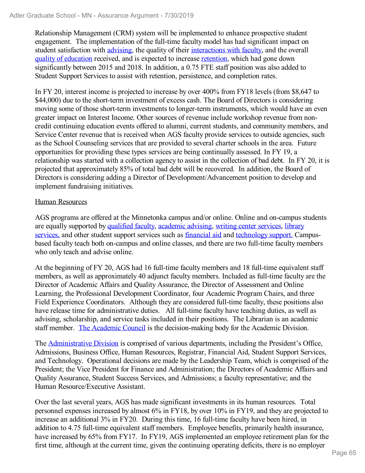Relationship Management (CRM) system will be implemented to enhance prospective student engagement. The implementation of the full-time faculty model has had significant impact on student satisfaction with advising, the quality of their interactions with faculty, and the overall quality of education received, and is expected to increase retention, which had gone down significantly between 2015 and 2018. In addition, a 0.75 FTE staff position was also added to Student Support Services to assist with retention, persistence, and completion rates.

In FY 20, interest income is projected to increase by over 400% from FY18 levels (from \$8,647 to \$44,000) due to the short-term investment of excess cash. The Board of Directors is considering moving some of those short-term investments to longer-term instruments, which would have an even greater impact on Interest Income. Other sources of revenue include workshop revenue from noncredit continuing education events offered to alumni, current students, and community members, and Service Center revenue that is received when AGS faculty provide services to outside agencies, such as the School Counseling services that are provided to several charter schools in the area. Future opportunities for providing these types services are being continually assessed. In FY 19, a relationship was started with a collection agency to assist in the collection of bad debt. In FY 20, it is projected that approximately 85% of total bad debt will be recovered. In addition, the Board of Directors is considering adding a Director of Development/Advancement position to develop and implement fundraising initiatives.

### Human Resources

AGS programs are offered at the Minnetonka campus and/or online. Online and on-campus students are equally supported by qualified faculty, academic advising, writing center services, library services, and other student support services such as financial aid and technology support. Campusbased faculty teach both on-campus and online classes, and there are two full-time faculty members who only teach and advise online.

At the beginning of FY 20, AGS had 16 full-time faculty members and 18 full-time equivalent staff members, as well as approximately 40 adjunct faculty members. Included as full-time faculty are the Director of Academic Affairs and Quality Assurance, the Director of Assessment and Online Learning, the Professional Development Coordinator, four Academic Program Chairs, and three Field Experience Coordinators. Although they are considered full-time faculty, these positions also have release time for administrative duties. All full-time faculty have teaching duties, as well as advising, scholarship, and service tasks included in their positions. The Librarian is an academic staff member. The Academic Council is the decision-making body for the Academic Division.

The Administrative Division is comprised of various departments, including the President's Office, Admissions, Business Office, Human Resources, Registrar, Financial Aid, Student Support Services, and Technology. Operational decisions are made by the Leadership Team, which is comprised of the President; the Vice President for Finance and Administration; the Directors of Academic Affairs and Quality Assurance, Student Success Services, and Admissions; a faculty representative; and the Human Resource/Executive Assistant.

Over the last several years, AGS has made significant investments in its human resources. Total personnel expenses increased by almost 6% in FY18, by over 10% in FY19, and they are projected to increase an additional 3% in FY20. During this time, 16 full-time faculty have been hired, in addition to 4.75 full-time equivalent staff members. Employee benefits, primarily health insurance, have increased by 65% from FY17. In FY19, AGS implemented an employee retirement plan for the first time, although at the current time, given the continuing operating deficits, there is no employer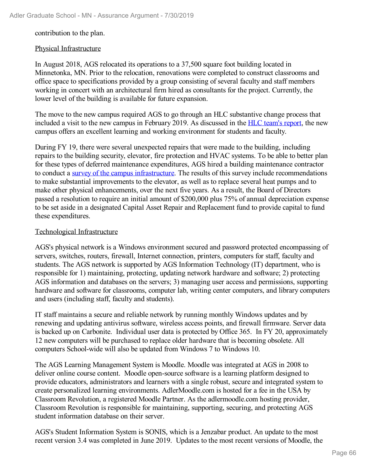contribution to the plan.

#### Physical Infrastructure

In August 2018, AGS relocated its operations to a 37,500 square foot building located in Minnetonka, MN. Prior to the relocation, renovations were completed to construct classrooms and office space to specifications provided by a group consisting of several faculty and staff members working in concert with an architectural firm hired as consultants for the project. Currently, the lower level of the building is available for future expansion.

The move to the new campus required AGS to go through an HLC substantive change process that included a visit to the new campus in February 2019. As discussed in the HLC team's report, the new campus offers an excellent learning and working environment for students and faculty.

During FY 19, there were several unexpected repairs that were made to the building, including repairs to the building security, elevator, fire protection and HVAC systems. To be able to better plan for these types of deferred maintenance expenditures, AGS hired a building maintenance contractor to conduct a survey of the campus infrastructure. The results of this survey include recommendations to make substantial improvements to the elevator, as well as to replace several heat pumps and to make other physical enhancements, over the next five years. As a result, the Board of Directors passed a resolution to require an initial amount of \$200,000 plus 75% of annual depreciation expense to be set aside in a designated Capital Asset Repair and Replacement fund to provide capital to fund these expenditures.

### Technological Infrastructure

AGS's physical network is a Windows environment secured and password protected encompassing of servers, switches, routers, firewall, Internet connection, printers, computers for staff, faculty and students. The AGS network is supported by AGS Information Technology (IT) department, who is responsible for 1) maintaining, protecting, updating network hardware and software; 2) protecting AGS information and databases on the servers; 3) managing user access and permissions, supporting hardware and software for classrooms, computer lab, writing center computers, and library computers and users (including staff, faculty and students).

IT staff maintains a secure and reliable network by running monthly Windows updates and by renewing and updating antivirus software, wireless access points, and firewall firmware. Server data is backed up on Carbonite. Individual user data is protected by Office 365. In FY 20, approximately 12 new computers will be purchased to replace older hardware that is becoming obsolete. All computers School-wide will also be updated from Windows 7 to Windows 10.

The AGS Learning Management System is Moodle. Moodle was integrated at AGS in 2008 to deliver online course content. Moodle open-source software is a learning platform designed to provide educators, administrators and learners with a single robust, secure and integrated system to create personalized learning environments. AdlerMoodle.com is hosted for a fee in the USA by Classroom Revolution, a registered Moodle Partner. As the adlermoodle.com hosting provider, Classroom Revolution is responsible for maintaining, supporting, securing, and protecting AGS student information database on their server.

AGS's Student Information System is SONIS, which is a Jenzabar product. An update to the most recent version 3.4 was completed in June 2019. Updates to the most recent versions of Moodle, the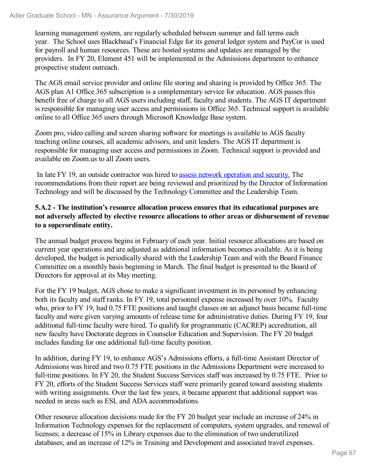learning management system, are regularly scheduled between summer and fall terms each year. The School uses Blackbaud's Financial Edge for its general ledger system and PayCor is used for payroll and human resources. These are hosted systems and updates are managed by the providers. In FY 20, Element 451 will be implemented in the Admissions department to enhance prospective student outreach.

The AGS email service provider and online file storing and sharing is provided by Office 365. The AGS plan A1 Office 365 subscription is a complementary service for education. AGS passes this benefit free of charge to all AGS users including staff, faculty and students. The AGS IT department is responsible for managing user access and permissions in Office 365. Technical support is available online to all Office 365 users through Microsoft Knowledge Base system.

Zoom pro, video calling and screen sharing software for meetings is available to AGS faculty teaching online courses, all academic advisors, and unit leaders. The AGS IT department is responsible for managing user access and permissions in Zoom. Technical support is provided and available on Zoom.us to all Zoom users.

In late FY 19, an outside contractor was hired to assess network operation and security. The recommendations from their report are being reviewed and prioritized by the Director of Information Technology and will be discussed by the Technology Committee and the Leadership Team.

### **5.A.2 - The institution's resource allocation process ensures that its educational purposes are not adversely affected by elective resource allocations to other areas or disbursement of revenue to a superordinate entity.**

The annual budget process begins in February of each year. Initial resource allocations are based on current year operations and are adjusted as additional information becomes available. As it is being developed, the budget is periodically shared with the Leadership Team and with the Board Finance Committee on a monthly basis beginning in March. The final budget is presented to the Board of Directors for approval at its May meeting.

For the FY 19 budget, AGS chose to make a significant investment in its personnel by enhancing both its faculty and staff ranks. In FY 19, total personnel expense increased by over 10%. Faculty who, prior to FY 19, had  $0.75$  FTE positions and taught classes on an adjunct basis became full-time faculty and were given varying amounts of release time for administrative duties. During FY 19, four additional full-time faculty were hired. To qualify for programmatic (CACREP) accreditation, all new faculty have Doctorate degrees in Counselor Education and Supervision. The FY 20 budget includes funding for one additional full-time faculty position.

In addition, during FY 19, to enhance AGS's Admissions efforts, a full-time Assistant Director of Admissions was hired and two 0.75 FTE positions in the Admissions Department were increased to full-time positions. In FY 20, the Student Success Services staff was increased by 0.75 FTE. Prior to FY 20, efforts of the Student Success Services staff were primarily geared toward assisting students with writing assignments. Over the last few years, it became apparent that additional support was needed in areas such as ESL and ADA accommodations.

Other resource allocation decisions made for the FY 20 budget year include an increase of 24% in Information Technology expenses for the replacement of computers, system upgrades, and renewal of licenses; a decrease of 15% in Library expenses due to the elimination of two underutilized databases; and an increase of 12% in Training and Development and associated travel expenses.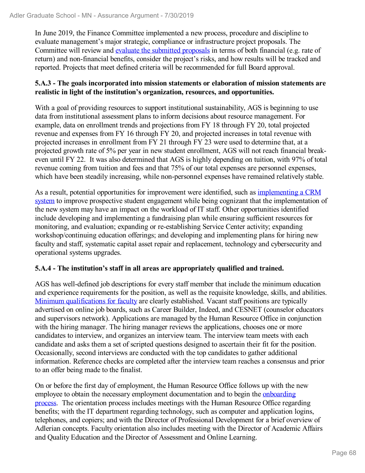In June 2019, the Finance Committee implemented a new process, procedure and discipline to evaluate management's major strategic, compliance or infrastructure project proposals. The Committee will review and evaluate the submitted proposals in terms of both financial (e.g. rate of return) and non-financial benefits, consider the project's risks, and how results will be tracked and reported. Projects that meet defined criteria will be recommended for full Board approval.

### **5.A.3 - The goals incorporated into mission statements or elaboration of mission statements are realistic in light of the institution's organization, resources, and opportunities.**

With a goal of providing resources to support institutional sustainability, AGS is beginning to use data from institutional assessment plans to inform decisions about resource management. For example, data on enrollment trends and projections from FY 18 through FY 20, total projected revenue and expenses from FY 16 through FY 20, and projected increases in total revenue with projected increases in enrollment from FY 21 through FY 23 were used to determine that, at a projected growth rate of 5% per year in new student enrollment, AGS will not reach financial breakeven until FY 22. It was also determined that AGS is highly depending on tuition, with 97% of total revenue coming from tuition and fees and that 75% of our total expenses are personnel expenses, which have been steadily increasing, while non-personnel expenses have remained relatively stable.

As a result, potential opportunities for improvement were identified, such as implementing a CRM system to improve prospective student engagement while being cognizant that the implementation of the new system may have an impact on the workload of IT staff. Other opportunities identified include developing and implementing a fundraising plan while ensuring sufficient resources for monitoring, and evaluation; expanding or re-establishing Service Center activity; expanding workshop/continuing education offerings; and developing and implementing plans for hiring new faculty and staff, systematic capital asset repair and replacement, technology and cybersecurity and operational systems upgrades.

### **5.A.4 - The institution's staff in all areas are appropriately qualified and trained.**

AGS has well-defined job descriptions for every staff member that include the minimum education and experience requirements for the position, as well as the requisite knowledge, skills, and abilities. Minimum qualifications for faculty are clearly established. Vacant staff positions are typically advertised on online job boards, such as Career Builder, Indeed, and CESNET (counselor educators and supervisors network). Applications are managed by the Human Resource Office in conjunction with the hiring manager. The hiring manager reviews the applications, chooses one or more candidates to interview, and organizes an interview team. The interview team meets with each candidate and asks them a set of scripted questions designed to ascertain their fit for the position. Occasionally, second interviews are conducted with the top candidates to gather additional information. Reference checks are completed after the interview team reaches a consensus and prior to an offer being made to the finalist.

On or before the first day of employment, the Human Resource Office follows up with the new employee to obtain the necessary employment documentation and to begin the onboarding process. The orientation process includes meetings with the Human Resource Office regarding benefits; with the IT department regarding technology, such as computer and application logins, telephones, and copiers; and with the Director of Professional Development for a brief overview of Adlerian concepts. Faculty orientation also includes meeting with the Director of Academic Affairs and Quality Education and the Director of Assessment and Online Learning.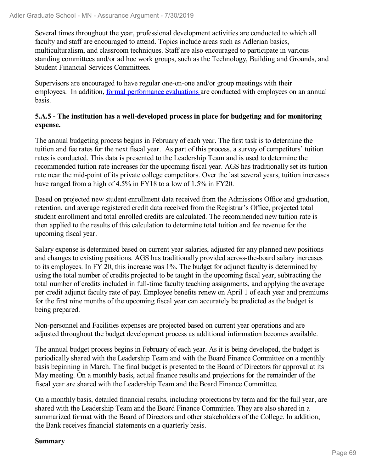Several times throughout the year, professional development activities are conducted to which all faculty and staff are encouraged to attend. Topics include areas such as Adlerian basics, multiculturalism, and classroom techniques. Staff are also encouraged to participate in various standing committees and/or ad hoc work groups, such as the Technology, Building and Grounds, and Student Financial Services Committees.

Supervisors are encouraged to have regular one-on-one and/or group meetings with their employees. In addition, formal performance evaluations are conducted with employees on an annual basis.

### **5.A.5 - The institution has a well-developed process in place for budgeting and for monitoring expense.**

The annual budgeting process begins in February of each year. The first task is to determine the tuition and fee rates for the next fiscal year. As part of this process, a survey of competitors' tuition rates is conducted. This data is presented to the Leadership Team and is used to determine the recommended tuition rate increases for the upcoming fiscal year. AGS has traditionally set its tuition rate near the mid-point of its private college competitors. Over the last several years, tuition increases have ranged from a high of 4.5% in FY18 to a low of 1.5% in FY20.

Based on projected new student enrollment data received from the Admissions Office and graduation, retention, and average registered credit data received from the Registrar's Office, projected total student enrollment and total enrolled credits are calculated. The recommended new tuition rate is then applied to the results of this calculation to determine total tuition and fee revenue for the upcoming fiscal year.

Salary expense is determined based on current year salaries, adjusted for any planned new positions and changes to existing positions. AGS has traditionally provided across-the-board salary increases to its employees. In FY 20, this increase was 1%. The budget for adjunct faculty is determined by using the total number of credits projected to be taught in the upcoming fiscal year, subtracting the total number of credits included in full-time faculty teaching assignments, and applying the average per credit adjunct faculty rate of pay. Employee benefits renew on April 1 of each year and premiums for the first nine months of the upcoming fiscal year can accurately be predicted as the budget is being prepared.

Non-personnel and Facilities expenses are projected based on current year operations and are adjusted throughout the budget development process as additional information becomes available.

The annual budget process begins in February of each year. As it is being developed, the budget is periodically shared with the Leadership Team and with the Board Finance Committee on a monthly basis beginning in March. The final budget is presented to the Board of Directors for approval at its May meeting. On a monthly basis, actual finance results and projections for the remainder of the fiscal year are shared with the Leadership Team and the Board Finance Committee.

On a monthly basis, detailed financial results, including projections by term and for the full year, are shared with the Leadership Team and the Board Finance Committee. They are also shared in a summarized format with the Board of Directors and other stakeholders of the College. In addition, the Bank receives financial statements on a quarterly basis.

### **Summary**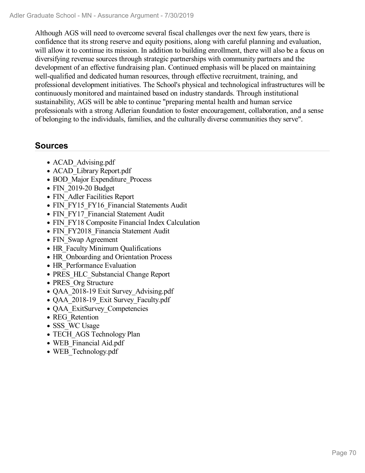Although AGS will need to overcome several fiscal challenges over the next few years, there is confidence that its strong reserve and equity positions, along with careful planning and evaluation, will allow it to continue its mission. In addition to building enrollment, there will also be a focus on diversifying revenue sources through strategic partnerships with community partners and the development of an effective fundraising plan. Continued emphasis will be placed on maintaining well-qualified and dedicated human resources, through effective recruitment, training, and professional development initiatives. The School's physical and technological infrastructures will be continuously monitored and maintained based on industry standards. Through institutional sustainability, AGS will be able to continue "preparing mental health and human service professionals with a strong Adlerian foundation to foster encouragement, collaboration, and a sense of belonging to the individuals, families, and the culturally diverse communities they serve".

- ACAD Advising.pdf
- ACAD Library Report.pdf
- BOD Major Expenditure Process
- FIN 2019-20 Budget
- FIN Adler Facilities Report
- FIN\_FY15\_FY16\_Financial Statements Audit
- FIN\_FY17\_Financial Statement Audit
- FIN FY18 Composite Financial Index Calculation
- FIN\_FY2018\_Financia Statement Audit
- FIN Swap Agreement
- HR Faculty Minimum Qualifications
- HR Onboarding and Orientation Process
- HR Performance Evaluation
- PRES\_HLC\_Substancial Change Report
- PRES Org Structure
- QAA 2018-19 Exit Survey Advising.pdf
- QAA 2018-19 Exit Survey Faculty.pdf
- QAA ExitSurvey Competencies
- REG\_Retention
- SSS WC Usage
- TECH AGS Technology Plan
- WEB\_Financial Aid.pdf
- WEB Technology.pdf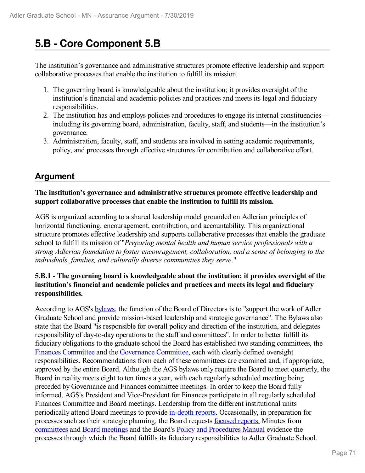# **5.B - Core Component 5.B**

The institution's governance and administrative structures promote effective leadership and support collaborative processes that enable the institution to fulfill its mission.

- 1. The governing board is knowledgeable about the institution; it provides oversight of the institution's financial and academic policies and practices and meets its legal and fiduciary responsibilities.
- 2. The institution has and employs policies and procedures to engage its internal constituencies including its governing board, administration, faculty, staff, and students—in the institution's governance.
- 3. Administration, faculty, staff, and students are involved in setting academic requirements, policy, and processes through effective structures for contribution and collaborative effort.

### **Argument**

### **The institution's governance and administrative structures promote effective leadership and support collaborative processes that enable the institution to fulfill its mission.**

AGS is organized according to a shared leadership model grounded on Adlerian principles of horizontal functioning, encouragement, contribution, and accountability. This organizational structure promotes effective leadership and supports collaborative processes that enable the graduate school to fulfill its mission of "*Preparing mental health and human service professionals with a strong Adlerian foundation to foster encouragement, collaboration, and a sense of belonging to the individuals, families, and culturally diverse communities they serve*."

### **5.B.1 - The governing board is knowledgeable about the institution; it provides oversight of the institution's financial and academic policies and practices and meets its legal and fiduciary responsibilities.**

According to AGS's bylaws, the function of the Board of Directors is to "support the work of Adler Graduate School and provide mission-based leadership and strategic governance". The Bylaws also state that the Board "is responsible for overall policy and direction of the institution, and delegates responsibility of day-to-day operations to the staff and committees". In order to better fulfill its fiduciary obligations to the graduate school the Board has established two standing committees, the Finances Committee and the Governance Committee, each with clearly defined oversight responsibilities. Recommendations from each of these committees are examined and, if appropriate, approved by the entire Board. Although the AGS bylaws only require the Board to meet quarterly, the Board in reality meets eight to ten times a year, with each regularly scheduled meeting being preceded by Governance and Finances committee meetings. In order to keep the Board fully informed, AGS's President and Vice-President for Finances participate in all regularly scheduled Finances Committee and Board meetings. Leadership from the different institutional units periodically attend Board meetings to provide in-depth reports. Occasionally, in preparation for processes such as their strategic planning, the Board requests focused reports. Minutes from committees and Board meetings and the Board's Policy and Procedures Manual evidence the processes through which the Board fulfills its fiduciary responsibilities to Adler Graduate School.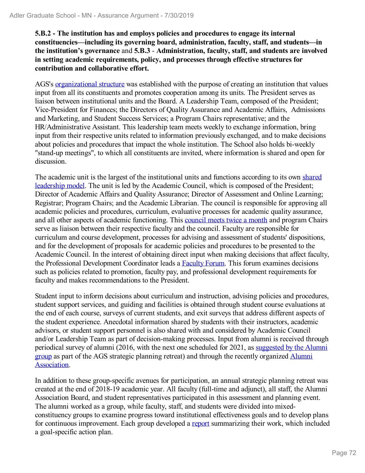**5.B.2 - The institution has and employs policies and procedures to engage its internal constituencies—including its governing board, administration, faculty, staff, and students—in the institution's governance** and **5.B.3** - **Administration, faculty, staff, and students are involved in setting academic requirements, policy, and processes through effective structures for contribution and collaborative effort.**

AGS's organizational structure was established with the purpose of creating an institution that values input from all its constituents and promotes cooperation among its units. The President serves as liaison between institutional units and the Board. A Leadership Team, composed of the President; Vice-President for Finances; the Directors of Quality Assurance and Academic Affairs, Admissions and Marketing, and Student Success Services; a Program Chairs representative; and the HR/Administrative Assistant. This leadership team meets weekly to exchange information, bring input from their respective units related to information previously exchanged, and to make decisions about policies and procedures that impact the whole institution. The School also holds bi-weekly "stand-up meetings", to which all constituents are invited, where information is shared and open for discussion.

The academic unit is the largest of the institutional units and functions according to its own shared leadership model. The unit is led by the Academic Council, which is composed of the President; Director of Academic Affairs and Quality Assurance; Director of Assessment and Online Learning; Registrar; Program Chairs; and the Academic Librarian. The council is responsible for approving all academic policies and procedures, curriculum, evaluative processes for academic quality assurance, and all other aspects of academic functioning. This council meets twice a month and program Chairs serve as liaison between their respective faculty and the council. Faculty are responsible for curriculum and course development, processes for advising and assessment of students' dispositions, and for the development of proposals for academic policies and procedures to be presented to the Academic Council. In the interest of obtaining direct input when making decisions that affect faculty, the Professional Development Coordinator leads a Faculty Forum. This forum examines decisions such as policies related to promotion, faculty pay, and professional development requirements for faculty and makes recommendations to the President.

Student input to inform decisions about curriculum and instruction, advising policies and procedures, student support services, and guiding and facilities is obtained through student course evaluations at the end of each course, surveys of current students, and exit surveys that address different aspects of the student experience. Anecdotal information shared by students with their instructors, academic advisors, or student support personnel is also shared with and considered by Academic Council and/or Leadership Team as part of decision-making processes. Input from alumni is received through periodical survey of alumni (2016, with the next one scheduled for 2021, as suggested by the Alumni group as part of the AGS strategic planning retreat) and through the recently organized Alumni Association.

In addition to these group-specific avenues for participation, an annual strategic planning retreat was created at the end of 2018-19 academic year. All faculty (full-time and adjunct), all staff, the Alumni Association Board, and student representatives participated in this assessment and planning event. The alumni worked as a group, while faculty, staff, and students were divided into mixedconstituency groups to examine progress toward institutional effectiveness goals and to develop plans for continuous improvement. Each group developed a report summarizing their work, which included a goal-specific action plan.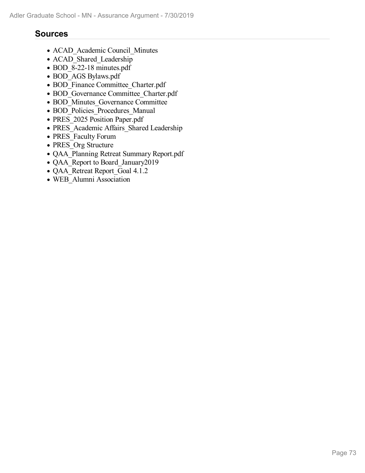- ACAD Academic Council Minutes
- ACAD Shared Leadership
- BOD 8-22-18 minutes.pdf
- BOD\_AGS Bylaws.pdf
- BOD Finance Committee Charter.pdf
- BOD Governance Committee Charter.pdf
- BOD Minutes Governance Committee
- BOD\_Policies\_Procedures\_Manual
- PRES 2025 Position Paper.pdf
- PRES\_Academic Affairs\_Shared Leadership
- PRES Faculty Forum
- PRES Org Structure
- QAA\_Planning Retreat Summary Report.pdf
- QAA\_Report to Board\_January2019
- QAA\_Retreat Report\_Goal 4.1.2
- WEB\_Alumni Association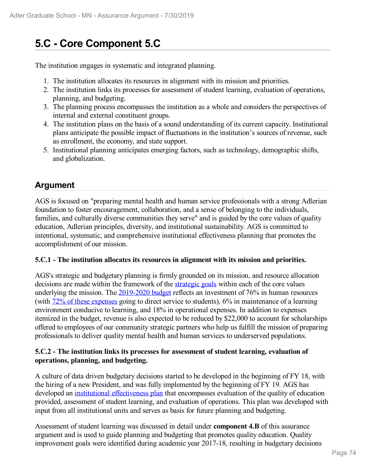# **5.C - Core Component 5.C**

The institution engages in systematic and integrated planning.

- 1. The institution allocates its resources in alignment with its mission and priorities.
- 2. The institution links its processes for assessment of student learning, evaluation of operations, planning, and budgeting.
- 3. The planning process encompasses the institution as a whole and considers the perspectives of internal and external constituent groups.
- 4. The institution plans on the basis of a sound understanding of its current capacity. Institutional plans anticipate the possible impact of fluctuations in the institution's sources of revenue, such as enrollment, the economy, and state support.
- 5. Institutional planning anticipates emerging factors, such as technology, demographic shifts, and globalization.

### **Argument**

AGS is focused on "preparing mental health and human service professionals with a strong Adlerian foundation to foster encouragement, collaboration, and a sense of belonging to the individuals, families, and culturally diverse communities they serve" and is guided by the core values of quality education, Adlerian principles, diversity, and institutional sustainability. AGS is committed to intentional, systematic, and comprehensive institutional effectiveness planning that promotes the accomplishment of our mission.

### **5.C.1 - The institution allocates its resources in alignment with its mission and priorities.**

AGS's strategic and budgetary planning is firmly grounded on its mission, and resource allocation decisions are made within the framework of the **strategic goals** within each of the core values underlying the mission. The 2019-2020 budget reflects an investment of 76% in human resources (with 72% of these expenses going to direct service to students), 6% in maintenance of a learning environment conducive to learning, and 18% in operational expenses. In addition to expenses itemized in the budget, revenue is also expected to be reduced by \$22,000 to account for scholarships offered to employees of our community strategic partners who help us fulfill the mission of preparing professionals to deliver quality mental health and human services to underserved populations.

### **5.C.2 - The institution links its processes for assessment of student learning, evaluation of operations, planning, and budgeting.**

A culture of data driven budgetary decisions started to be developed in the beginning of FY 18, with the hiring of a new President, and was fully implemented by the beginning of FY 19. AGS has developed an *institutional* effectiveness plan that encompasses evaluation of the quality of education provided, assessment of student learning, and evaluation of operations. This plan was developed with input from all institutional units and serves as basis for future planning and budgeting.

Assessment of student learning was discussed in detail under **component 4.B** of this assurance argument and is used to guide planning and budgeting that promotes quality education. Quality improvement goals were identified during academic year 2017-18, resulting in budgetary decisions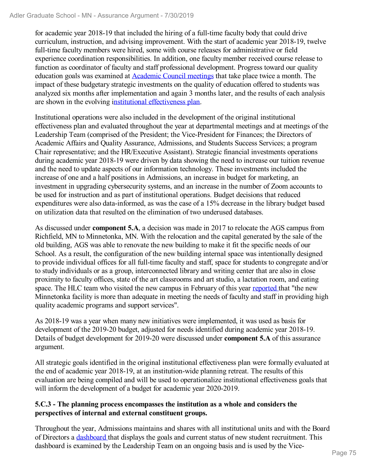for academic year 2018-19 that included the hiring of a full-time faculty body that could drive curriculum, instruction, and advising improvement. With the start of academic year 2018-19, twelve full-time faculty members were hired, some with course releases for administrative or field experience coordination responsibilities. In addition, one faculty member received course release to function as coordinator of faculty and staff professional development. Progress toward our quality education goals was examined at Academic Council meetings that take place twice a month. The impact of these budgetary strategic investments on the quality of education offered to students was analyzed six months after implementation and again 3 months later, and the results of each analysis are shown in the evolving institutional effectiveness plan.

Institutional operations were also included in the development of the original institutional effectiveness plan and evaluated throughout the year at departmental meetings and at meetings of the Leadership Team (comprised of the President; the Vice-President for Finances; the Directors of Academic Affairs and Quality Assurance, Admissions, and Students Success Services; a program Chair representative; and the HR/Executive Assistant). Strategic financial investments operations during academic year 2018-19 were driven by data showing the need to increase our tuition revenue and the need to update aspects of our information technology. These investments included the increase of one and a half positions in Admissions, an increase in budget for marketing, an investment in upgrading cybersecurity systems, and an increase in the number of Zoom accounts to be used for instruction and as part of institutional operations. Budget decisions that reduced expenditures were also data-informed, as was the case of a 15% decrease in the library budget based on utilization data that resulted on the elimination of two underused databases.

As discussed under **component 5.A**, a decision was made in 2017 to relocate the AGS campus from Richfield, MN to Minnetonka, MN. With the relocation and the capital generated by the sale of the old building, AGS was able to renovate the new building to make it fit the specific needs of our School. As a result, the configuration of the new building internal space was intentionally designed to provide individual offices for all full-time faculty and staff, space for students to congregate and/or to study individuals or as a group, interconnected library and writing center that are also in close proximity to faculty offices, state of the art classrooms and art studio, a lactation room, and eating space. The HLC team who visited the new campus in February of this year reported that "the new Minnetonka facility is more than adequate in meeting the needs of faculty and staff in providing high quality academic programs and support services".

As 2018-19 was a year when many new initiatives were implemented, it was used as basis for development of the 2019-20 budget, adjusted for needs identified during academic year 2018-19. Details of budget development for 2019-20 were discussed under **component 5.A** of this assurance argument.

All strategic goals identified in the original institutional effectiveness plan were formally evaluated at the end of academic year 2018-19, at an institution-wide planning retreat. The results of this evaluation are being compiled and will be used to operationalize institutional effectiveness goals that will inform the development of a budget for academic year 2020-2019.

### **5.C.3 - The planning process encompasses the institution as a whole and considers the perspectives of internal and external constituent groups.**

Throughout the year, Admissions maintains and shares with all institutional units and with the Board of Directors a dashboard that displays the goals and current status of new student recruitment. This dashboard is examined by the Leadership Team on an ongoing basis and is used by the Vice-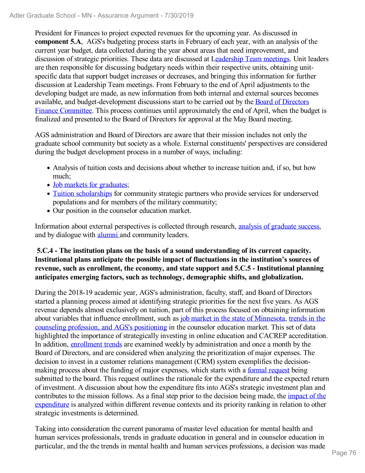President for Finances to project expected revenues for the upcoming year. As discussed in **component 5.A**, AGS's budgeting process starts in February of each year, with an analysis of the current year budget, data collected during the year about areas that need improvement, and discussion of strategic priorities. These data are discussed at Leadership Team meetings. Unit leaders are then responsible for discussing budgetary needs within their respective units, obtaining unitspecific data that support budget increases or decreases, and bringing this information for further discussion at Leadership Team meetings. From February to the end of April adjustments to the developing budget are made, as new information from both internal and external sources becomes available, and budget-development discussions start to be carried out by the Board of Directors Finance Committee. This process continues until approximately the end of April, when the budget is finalized and presented to the Board of Directors for approval at the May Board meeting.

AGS administration and Board of Directors are aware that their mission includes not only the graduate school community but society as a whole. External constituents' perspectives are considered during the budget development process in a number of ways, including:

- Analysis of tuition costs and decisions about whether to increase tuition and, if so, but how much;
- Job markets for graduates:
- Tuition scholarships for community strategic partners who provide services for underserved populations and for members of the military community;
- Our position in the counselor education market.

Information about external perspectives is collected through research, analysis of graduate success, and by dialogue with alumni and community leaders.

### **5.C.4 - The institution plans on the basis of a sound understanding of its current capacity. Institutional plans anticipate the possible impact of fluctuations in the institution's sources of revenue, such as enrollment, the economy, and state support and 5.C.5 - Institutional planning anticipates emerging factors, such as technology, demographic shifts, and globalization.**

During the 2018-19 academic year, AGS's administration, faculty, staff, and Board of Directors started a planning process aimed at identifying strategic priorities for the next five years. As AGS revenue depends almost exclusively on tuition, part of this process focused on obtaining information about variables that influence enrollment, such as job market in the state of Minnesota, trends in the counseling profession, and AGS's positioning in the counselor education market. This set of data highlighted the importance of strategically investing in online education and CACREP accreditation. In addition, enrollment trends are examined weekly by administration and once a month by the Board of Directors, and are considered when analyzing the prioritization of major expenses. The decision to invest in a customer relations management (CRM) system exemplifies the decisionmaking process about the funding of major expenses, which starts with a formal request being submitted to the board. This request outlines the rationale for the expenditure and the expected return of investment. A discussion about how the expenditure fits into AGS's strategic investment plan and contributes to the mission follows. As a final step prior to the decision being made, the impact of the expenditure is analyzed within different revenue contexts and its priority ranking in relation to other strategic investments is determined.

Taking into consideration the current panorama of master level education for mental health and human services professionals, trends in graduate education in general and in counselor education in particular, and the the trends in mental health and human services professions, a decision was made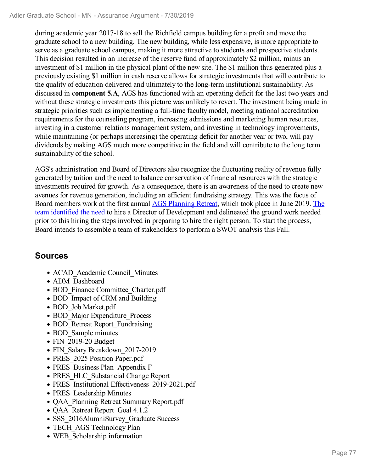during academic year 2017-18 to sell the Richfield campus building for a profit and move the graduate school to a new building. The new building, while less expensive, is more appropriate to serve as a graduate school campus, making it more attractive to students and prospective students. This decision resulted in an increase of the reserve fund of approximately \$2 million, minus an investment of \$1 million in the physical plant of the new site. The \$1 million thus generated plus a previously existing \$1 million in cash reserve allows for strategic investments that will contribute to the quality of education delivered and ultimately to the long-term institutional sustainability. As discussed in **component 5.A**, AGS has functioned with an operating deficit for the last two years and without these strategic investments this picture was unlikely to revert. The investment being made in strategic priorities such as implementing a full-time faculty model, meeting national accreditation requirements for the counseling program, increasing admissions and marketing human resources, investing in a customer relations management system, and investing in technology improvements, while maintaining (or perhaps increasing) the operating deficit for another year or two, will pay dividends by making AGS much more competitive in the field and will contribute to the long term sustainability of the school.

AGS's administration and Board of Directors also recognize the fluctuating reality of revenue fully generated by tuition and the need to balance conservation of financial resources with the strategic investments required for growth. As a consequence, there is an awareness of the need to create new avenues for revenue generation, including an efficient fundraising strategy. This was the focus of Board members work at the first annual AGS Planning Retreat, which took place in June 2019. The team identified the need to hire a Director of Development and delineated the ground work needed prior to this hiring the steps involved in preparing to hire the right person. To start the process, Board intends to assemble a team of stakeholders to perform a SWOT analysis this Fall.

- ACAD Academic Council Minutes
- ADM\_Dashboard
- BOD Finance Committee Charter.pdf
- BOD Impact of CRM and Building
- BOD Job Market.pdf
- BOD Major Expenditure Process
- BOD Retreat Report Fundraising
- BOD Sample minutes
- FIN 2019-20 Budget
- FIN\_Salary Breakdown\_2017-2019
- PRES 2025 Position Paper.pdf
- PRES Business Plan Appendix F
- PRES HLC Substancial Change Report
- PRES Institutional Effectiveness 2019-2021.pdf
- PRES Leadership Minutes
- QAA\_Planning Retreat Summary Report.pdf
- QAA Retreat Report Goal 4.1.2
- SSS 2016AlumniSurvey Graduate Success
- TECH AGS Technology Plan
- WEB\_Scholarship information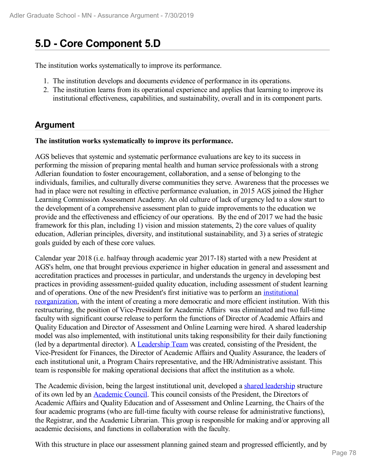# **5.D - Core Component 5.D**

The institution works systematically to improve its performance.

- 1. The institution develops and documents evidence of performance in its operations.
- 2. The institution learns from its operational experience and applies that learning to improve its institutional effectiveness, capabilities, and sustainability, overall and in its component parts.

### **Argument**

### **The institution works systematically to improve its performance.**

AGS believes that systemic and systematic performance evaluations are key to its success in performing the mission of preparing mental health and human service professionals with a strong Adlerian foundation to foster encouragement, collaboration, and a sense of belonging to the individuals, families, and culturally diverse communities they serve. Awareness that the processes we had in place were not resulting in effective performance evaluation, in 2015 AGS joined the Higher Learning Commission Assessment Academy. An old culture of lack of urgency led to a slow start to the development of a comprehensive assessment plan to guide improvements to the education we provide and the effectiveness and efficiency of our operations. By the end of 2017 we had the basic framework for this plan, including 1) vision and mission statements, 2) the core values of quality education, Adlerian principles, diversity, and institutional sustainability, and 3) a series of strategic goals guided by each of these core values.

Calendar year 2018 (i.e. halfway through academic year 2017-18) started with a new President at AGS's helm, one that brought previous experience in higher education in general and assessment and accreditation practices and processes in particular, and understands the urgency in developing best practices in providing assessment-guided quality education, including assessment of student learning and of operations. One of the new President's first initiative was to perform an institutional reorganization, with the intent of creating a more democratic and more efficient institution. With this restructuring, the position of Vice-President for Academic Affairs was eliminated and two full-time faculty with significant course release to perform the functions of Director of Academic Affairs and Quality Education and Director of Assessment and Online Learning were hired. A shared leadership model was also implemented, with institutional units taking responsibility for their daily functioning (led by a departmental director). A Leadership Team was created, consisting of the President, the Vice-President for Finances, the Director of Academic Affairs and Quality Assurance, the leaders of each institutional unit, a Program Chairs representative, and the HR/Administrative assistant. This team is responsible for making operational decisions that affect the institution as a whole.

The Academic division, being the largest institutional unit, developed a shared leadership structure of its own led by an Academic Council. This council consists of the President, the Directors of Academic Affairs and Quality Education and of Assessment and Online Learning, the Chairs of the four academic programs (who are full-time faculty with course release for administrative functions), the Registrar, and the Academic Librarian. This group is responsible for making and/or approving all academic decisions, and functions in collaboration with the faculty.

With this structure in place our assessment planning gained steam and progressed efficiently, and by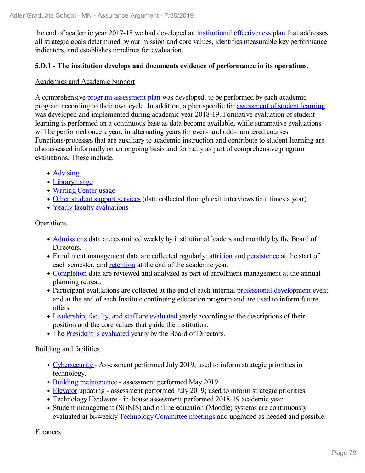the end of academic year 2017-18 we had developed an institutional effectiveness plan that addresses all strategic goals determined by our mission and core values, identifies measurable key performance indicators, and establishes timelines for evaluation.

### **5.D.1 - The institution develops and documents evidence of performance in its operations.**

### Academics and Academic Support

A comprehensive program assessment plan was developed, to be performed by each academic program according to their own cycle. In addition, a plan specific for assessment of student learning was developed and implemented during academic year 2018-19. Formative evaluation of student learning is performed on a continuous base as data become available, while summative evaluations will be performed once a year, in alternating years for even- and odd-numbered courses. Functions/processes that are auxiliary to academic instruction and contribute to student learning are also assessed informally on an ongoing basis and formally as part of comprehensive program evaluations. These include.

- Advising
- Library usage
- Writing Center usage
- Other student support services (data collected through exit interviews four times a year)
- Yearly faculty evaluations

### **Operations**

- Admissions data are examined weekly by institutional leaders and monthly by the Board of Directors.
- Enrollment management data are collected regularly: **attrition** and persistence at the start of each semester, and retention at the end of the academic year.
- Completion data are reviewed and analyzed as part of enrollment management at the annual planning retreat.
- Participant evaluations are collected at the end of each internal professional development event and at the end of each Institute continuing education program and are used to inform future offers.
- Leadership, faculty, and staff are evaluated yearly according to the descriptions of their position and the core values that guide the institution.
- The President is evaluated yearly by the Board of Directors.

### Building and facilities

- Cybersecurity Assessment performed July 2019; used to inform strategic priorities in technology.
- Building maintenance assessment performed May 2019
- Elevator updating assessment performed July 2019; used to inform strategic priorities.
- Technology Hardware in-house assessment performed 2018-19 academic year
- Student management (SONIS) and online education (Moodle) systems are continuously evaluated at bi-weekly **Technology Committee meetings** and upgraded as needed and possible.

Finances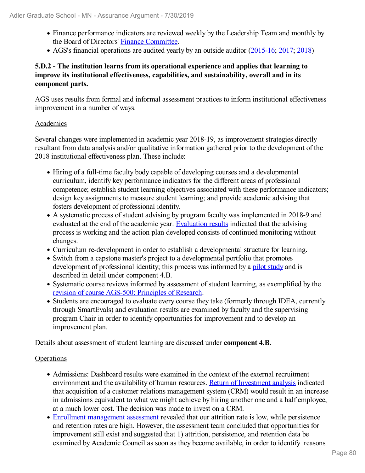- Finance performance indicators are reviewed weekly by the Leadership Team and monthly by the Board of Directors' Finance Committee.
- AGS's financial operations are audited yearly by an outside auditor (2015-16; 2017; 2018)

### **5.D.2 - The institution learns from its operational experience and applies that learning to improve its institutional effectiveness, capabilities, and sustainability, overall and in its component parts.**

AGS uses results from formal and informal assessment practices to inform institutional effectiveness improvement in a number of ways.

### Academics

Several changes were implemented in academic year 2018-19, as improvement strategies directly resultant from data analysis and/or qualitative information gathered prior to the development of the 2018 institutional effectiveness plan. These include:

- Hiring of a full-time faculty body capable of developing courses and a developmental curriculum, identify key performance indicators for the different areas of professional competence; establish student learning objectives associated with these performance indicators; design key assignments to measure student learning; and provide academic advising that fosters development of professional identity.
- A systematic process of student advising by program faculty was implemented in 2018-9 and evaluated at the end of the academic year. Evaluation results indicated that the advising process is working and the action plan developed consists of continued monitoring without changes.
- Curriculum re-development in order to establish a developmental structure for learning.
- Switch from a capstone master's project to a developmental portfolio that promotes development of professional identity; this process was informed by a pilot study and is described in detail under component 4.B.
- Systematic course reviews informed by assessment of student learning, as exemplified by the revision of course AGS-500: Principles of Research.
- Students are encouraged to evaluate every course they take (formerly through IDEA, currently through SmartEvals) and evaluation results are examined by faculty and the supervising program Chair in order to identify opportunities for improvement and to develop an improvement plan.

Details about assessment of student learning are discussed under **component 4.B**.

### **Operations**

- Admissions: Dashboard results were examined in the context of the external recruitment environment and the availability of human resources. Return of Investment analysis indicated that acquisition of a customer relations management system (CRM) would result in an increase in admissions equivalent to what we might achieve by hiring another one and a half employee, at a much lower cost. The decision was made to invest on a CRM.
- Enrollment management assessment revealed that our attrition rate is low, while persistence and retention rates are high. However, the assessment team concluded that opportunities for improvement still exist and suggested that 1) attrition, persistence, and retention data be examined by Academic Council as soon as they become available, in order to identify reasons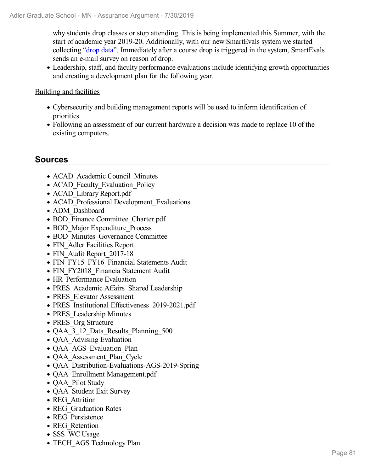why students drop classes or stop attending. This is being implemented this Summer, with the start of academic year 2019-20. Additionally, with our new SmartEvals system we started collecting "drop data". Immediately after a course drop is triggered in the system, SmartEvals sends an e-mail survey on reason of drop.

Leadership, staff, and faculty performance evaluations include identifying growth opportunities and creating a development plan for the following year.

### Building and facilities

- Cybersecurity and building management reports will be used to inform identification of priorities.
- Following an assessment of our current hardware a decision was made to replace 10 of the existing computers.

- ACAD Academic Council Minutes
- ACAD Faculty Evaluation Policy
- ACAD Library Report.pdf
- ACAD Professional Development Evaluations
- ADM\_Dashboard
- BOD Finance Committee Charter.pdf
- BOD Major Expenditure Process
- BOD Minutes Governance Committee
- FIN Adler Facilities Report
- FIN Audit Report 2017-18
- FIN FY15 FY16 Financial Statements Audit
- FIN\_FY2018\_Financia Statement Audit
- HR Performance Evaluation
- PRES Academic Affairs Shared Leadership
- PRES Elevator Assessment
- PRES Institutional Effectiveness 2019-2021.pdf
- PRES Leadership Minutes
- PRES Org Structure
- QAA 3 12 Data Results Planning 500
- **QAA** Advising Evaluation
- QAA\_AGS\_Evaluation\_Plan
- QAA Assessment Plan Cycle
- QAA\_Distribution-Evaluations-AGS-2019-Spring
- QAA\_Enrollment Management.pdf
- **QAA** Pilot Study
- OAA Student Exit Survey
- REG Attrition
- REG Graduation Rates
- REG\_Persistence
- REG\_Retention
- SSS WC Usage
- TECH AGS Technology Plan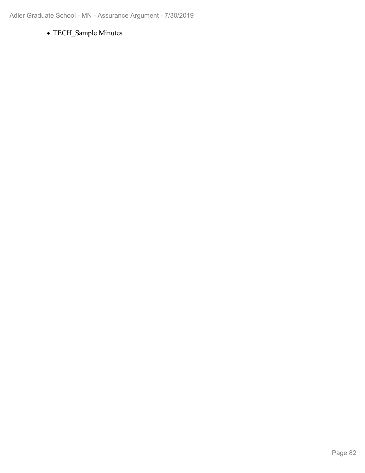TECH\_Sample Minutes